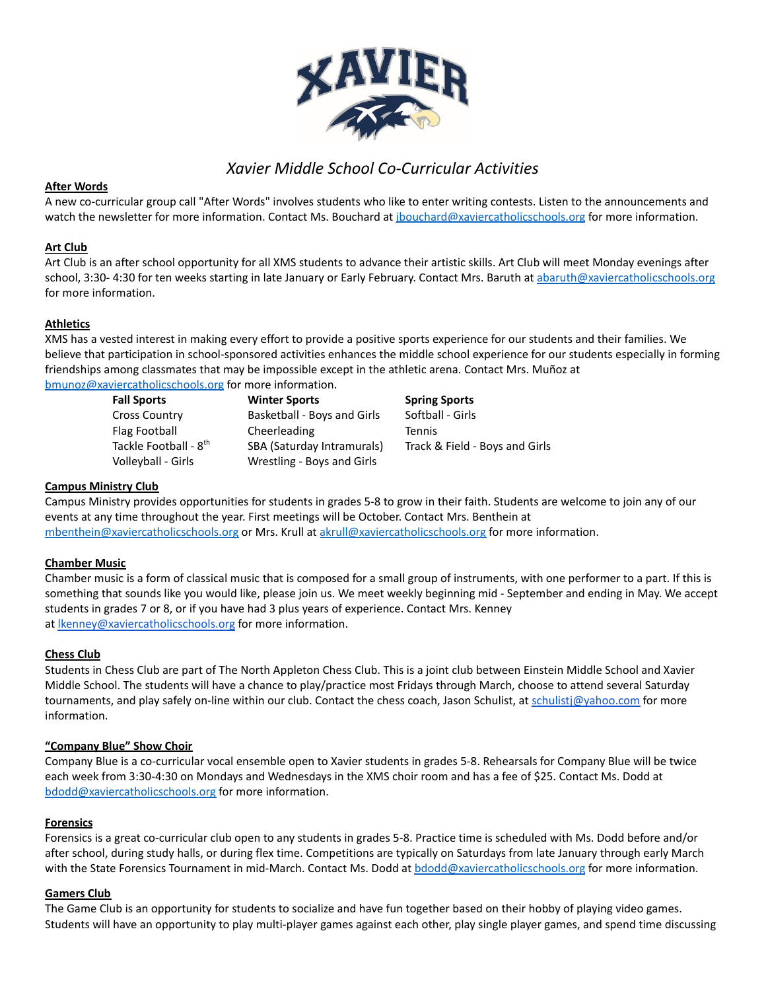

# *Xavier Middle School Co-Curricular Activities*

# **After Words**

A new co-curricular group call "After Words" involves students who like to enter writing contests. Listen to the announcements and watch the newsletter for more information. Contact Ms. Bouchard at *ibouchard@xaviercatholicschools.org* for more information.

# **Art Club**

Art Club is an after school opportunity for all XMS students to advance their artistic skills. Art Club will meet Monday evenings after school, 3:30- 4:30 for ten weeks starting in late January or Early February. Contact Mrs. Baruth at [abaruth@xaviercatholicschools.org](mailto:abaruth@xaviercatholicschools.org) for more information.

# **Athletics**

XMS has a vested interest in making every effort to provide a positive sports experience for our students and their families. We believe that participation in school-sponsored activities enhances the middle school experience for our students especially in forming friendships among classmates that may be impossible except in the athletic arena. Contact Mrs. Muñoz at [bmunoz@xaviercatholicschools.org](mailto:bmunoz@xaviercatholicschools.org) for more information.

**Fall Sports Winter Sports Spring Sports** Cross Country **Basketball - Boys and Girls** Softball - Girls Flag Football **Cheerleading** Tennis Tackle Football - 8 SBA (Saturday Intramurals) Track & Field - Boys and Girls Volleyball - Girls Wrestling - Boys and Girls

#### **Campus Ministry Club**

Campus Ministry provides opportunities for students in grades 5-8 to grow in their faith. Students are welcome to join any of our events at any time throughout the year. First meetings will be October. Contact Mrs. Benthein at [mbenthein@xaviercatholicschools.org](mailto:mbenthein@xaviercatholicschools.org) or Mrs. Krull at [akrull@xaviercatholicschools.org](mailto:akrull@xaviercatholicschools.org) for more information.

#### **Chamber Music**

Chamber music is a form of classical music that is composed for a small group of instruments, with one performer to a part. If this is something that sounds like you would like, please join us. We meet weekly beginning mid - September and ending in May. We accept students in grades 7 or 8, or if you have had 3 plus years of experience. Contact Mrs. Kenney at **Ikenney@xaviercatholicschools.org** for more information.

#### **Chess Club**

Students in Chess Club are part of The North Appleton Chess Club. This is a joint club between Einstein Middle School and Xavier Middle School. The students will have a chance to play/practice most Fridays through March, choose to attend several Saturday tournaments, and play safely on-line within our club. Contact the chess coach, Jason Schulist, at schulistj@yahoo.com for more information.

#### **"Company Blue" Show Choir**

Company Blue is a co-curricular vocal ensemble open to Xavier students in grades 5-8. Rehearsals for Company Blue will be twice each week from 3:30-4:30 on Mondays and Wednesdays in the XMS choir room and has a fee of \$25. Contact Ms. Dodd at [bdodd@xaviercatholicschools.org](mailto:bdodd@xaviercatholicschools.org) for more information.

#### **Forensics**

Forensics is a great co-curricular club open to any students in grades 5-8. Practice time is scheduled with Ms. Dodd before and/or after school, during study halls, or during flex time. Competitions are typically on Saturdays from late January through early March with the State Forensics Tournament in mid-March. Contact Ms. Dodd at [bdodd@xaviercatholicschools.org](mailto:bdodd@xaviercatholicschools.org) for more information.

#### **Gamers Club**

The Game Club is an opportunity for students to socialize and have fun together based on their hobby of playing video games. Students will have an opportunity to play multi-player games against each other, play single player games, and spend time discussing